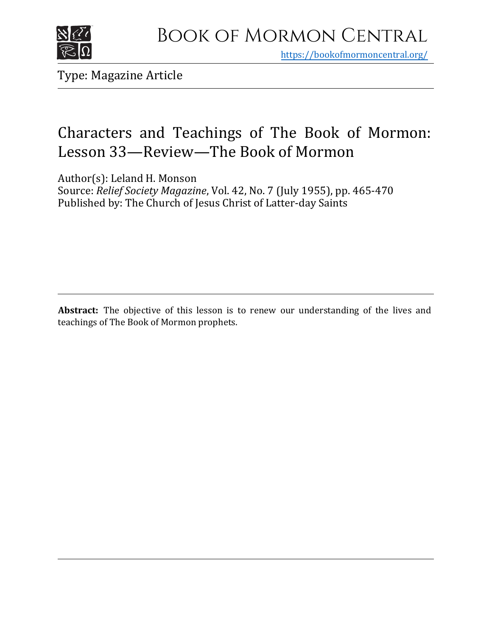

https[://bookofmormoncentral.org/](http://bookofmormoncentral.org/)

Type: Magazine Article

# Characters and Teachings of The Book of Mormon: Lesson 33—Review—The Book of Mormon

Author(s): Leland H. Monson Source: *Relief Society Magazine*, Vol. 42, No. 7 (July 1955), pp. 465-470 Published by: The Church of Jesus Christ of Latter-day Saints

**Abstract:** The objective of this lesson is to renew our understanding of the lives and teachings of The Book of Mormon prophets.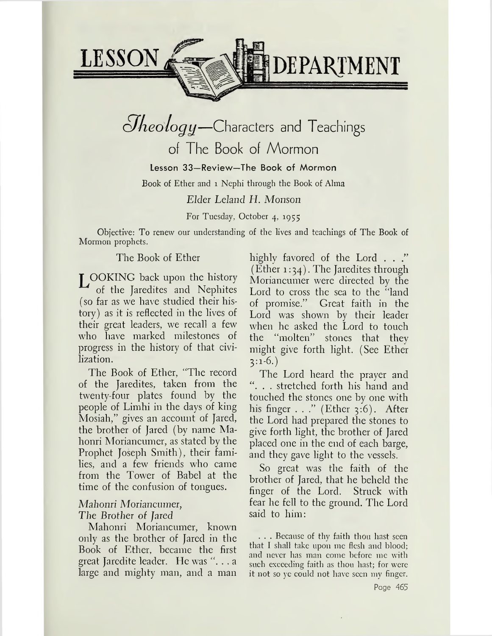

# *cJheölogy—*Characters and Teachings of The Book of Mormon

# Lesson 33—Review—The Book of Mormon

Book of Ether and <sup>1</sup> Nephi through the Book of Alma

# *Elder Leland H. Monson*

For Tuesday, October 4, 1955

Objective: To renew our understanding of the lives and teachings of The Book of Mormon prophets.

# The Book of Ether

LOOKING back upon the history of the Jaredites and Nephites (so far as we have studied their history) as it is reflected in the lives of their great leaders, we recall a few who have marked milestones of progress in the history of that civilization.

The Book of Ether, "The record of the Jaredites, taken from the twenty-four plates found by the people of Limhi in the days of king Mosiah," gives an account of Jared, the brother of Jared (by name Mahonri Moriancumer, as stated by the Prophet Joseph Smith), their families, and a few friends who came from the Tower of Babel at the time of the confusion of tongues.

# *Mahonri Moriancumer, The Brother of Jared*

Mahonri Moriancumer, known only as the brother of Jared in the Book of Ether, became the first great Jaredite leader. He was ". . . a large and mighty man, and a man

highly favored of the Lord . . ." (Ether  $1:34$ ). The Jaredites through Moriancumer were directed by the Lord to cross the sea to the "land of promise." Great faith in the Lord was shown by their leader when he asked the Lord to touch the "molten" stones that they might give forth light. (See Ether 3:1-6.)

The Lord heard the prayer and "... stretched forth his hand and touched the stones one by one with his finger  $\ldots$ ." (Ether 3:6). After the Lord had prepared the stones to give forth light, the brother of Jared placed one in the end of each barge, and they gave light to the vessels.

So great was the faith of the brother of Jared, that he beheld the finger of the Lord. Struck with fear he fell to the ground. The Lord said to him:

. . . Because of thy faith thou hast seen that I shall take upon me flesh and blood; and never has man come before me with such exceeding faith as thou hast; for were it not so ye could not have seen my finger.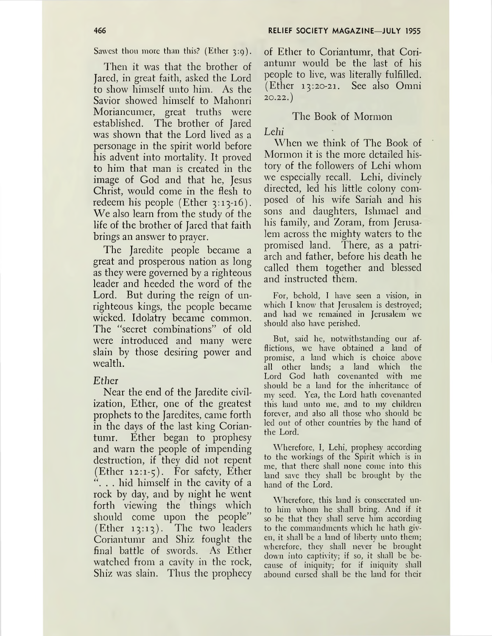Sawest thou more than this? (Ether  $3:9$ ).

Then it was that the brother of Jared, in great faith, asked the Lord to show himself unto him. As the Savior showed himself to Mahonri Moriancumer, great truths were established. The brother of Jared was shown that the Lord lived as a personage in the spirit world before his advent into mortality. It proved to him that man is created in the image of God and that he, Jesus Christ, would come in the flesh to redeem his people (Ether  $3:13-16$ ). We also learn from the study of the life of the brother of Jared that faith brings an answer to prayer.

The Jaredite people became a great and prosperous nation as long as they were governed by a righteous leader and heeded the word of the Lord. But during the reign of unrighteous kings, the people became wicked. Idolatry became common. The "secret combinations" of old were introduced and many were slain by those desiring power and wealth.

#### *Ether*

Near the end of the Jaredite civilization, Ether, one of the greatest prophets to the Jaredites, came forth in the days of the last king Coriantumr. Ether began to prophesy and warn the people of impending destruction, if they did not repent (Ether 12:1-5). For safety, Ether ". . . hid himself in the cavity of a rock by day, and by night he went forth viewing the things which should come upon the people"  $(Ether 13:13)$ . The two leaders Coriantumr and Shiz fought the final battle of swords. As Ether watched from a cavity in the rock, Shiz was slain. Thus the prophecy

of Ether to Coriantumr, that Coriantumr would be the last of his people to live, was literally fulfilled. (Ether 13:20-21. See also Omni 20.22.)

#### The Book of Mormon

*Lehi*

When we think of The Book of Mormon it is the more detailed history of the followers of Lehi whom we especially recall. Lehi, divinely directed, led his little colony composed of his wife Sariah and his sons and daughters, Ishmael and his family, and Zoram, from Jerusalem across the mighty waters to the promised land. There, as a patriarch and father, before his death he called them together and blessed and instructed them.

For, behold, I have seen a vision, in which I know that Jerusalem is destroyed; and had we remained in Jerusalem we should also have perished.

But, said he, notwithstanding our afflictions, we have obtained a land of promise, a land which is choice above all other lands; a land which the Lord God hath covenanted with me should be a land for the inheritance of my seed. Yea, the Lord hath covenanted this land unto me, and to my children forever, and also all those who should be led out of other countries by the hand of the Lord.

Wherefore, I, Lehi, prophesy according to the workings of the Spirit which is in me, that there shall none come into this land save they shall be brought by the hand of the Lord.

Wherefore, this land is consecrated unto him whom he shall bring. And if it so be that they shall serve him according to the commandments which he hath given, it shall be a land of liberty unto them; wherefore, they shall never be brought down into captivity; if so, it shall be because of iniquity; for if iniquity shall abound cursed shall be the land for their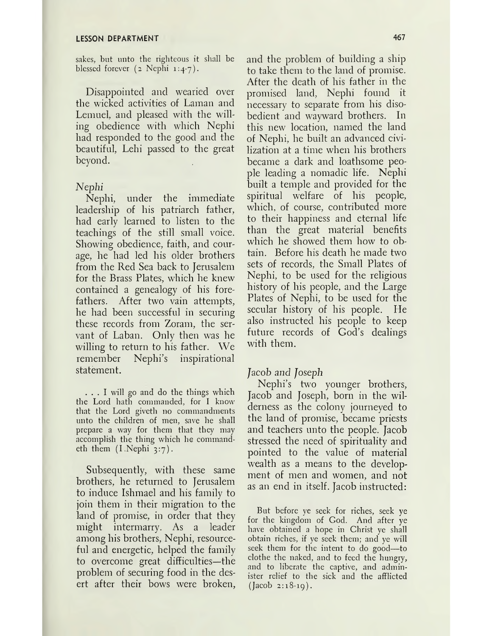sakes, but unto the righteous it shall be blessed forever  $(z \text{ Nephi } 1:4-7)$ .

Disappointed and wearied over the wicked activities of Laman and Lemuel, and pleased with the willing obedience with which Nephi had responded to the good and the beautiful, Lehi passed to the great beyond.

#### *Nephi*

Nephi, under the immediate leadership of his patriarch father, had early learned to listen to the teachings of the still small voice. Showing obedience, faith, and courage, he had led his older brothers from the Red Sea back to Jerusalem for the Brass Plates, which he knew contained a genealogy of his forefathers. After two vain attempts, he had been successful in securing these records from Zoram, the servant of Laban. Only then was he willing to return to his father. We remember Nephi's inspirational statement.

... <sup>I</sup> will go and do the things which the Lord hath commanded, for I know that the Lord giveth no commandments unto the children of men, save he shall prepare a way for them that they may accomplish the thing which he commandeth them  $(I.Nephi 3:7)$ .

Subsequently, with these same brothers, he returned to Jerusalem to induce Ishmael and his family to join them in their migration to the land of promise, in order that they might intermarry. As a leader among his brothers, Nephi, resourceful and energetic, helped the family to overcome great difficulties—the problem of securing food in the desert after their bows were broken, and the problem of building a ship to take them to the land of promise. After the death of his father in the promised land, Nephi found it necessary to separate from his disobedient and wayward brothers. In this new location, named the land of Nephi, he built an advanced civilization at a time when his brothers became a dark and loathsome people leading a nomadic life. Nephi built a temple and provided for the spiritual welfare of his people, which, of course, contributed more to their happiness and eternal life than the great material benefits which he showed them how to obtain. Before his death he made two sets of records, the Small Plates of Nephi, to be used for the religious history of his people, and the Large Plates of Nephi, to be used for the secular history of his people. He also instructed his people to keep future records of God'<sup>s</sup> dealings with them.

### *Jacob and Joseph*

Nephi'<sup>s</sup> two younger brothers, Jacob and Joseph, born in the wilderness as the colony journeyed to the land of promise, became priests and teachers unto the people. Jacob stressed the need of spirituality and pointed to the value of material wealth as a means to the development of men and women, and not as an end in itself. Jacob instructed:

But before ye seek for riches, seek ye for the kingdom of God. And after ye have obtained a hope in Christ ye shall obtain riches, if ye seek them; and ye will seek them for the intent to do good—to clothe the naked, and to feed the hungry, and to liberate the captive, and administer relief to the sick and the afflicted  $(Jacob 2:18-19)$ .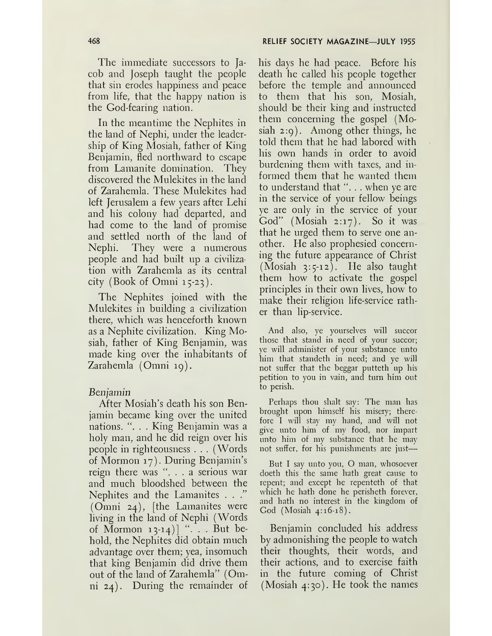The immediate successors to Jacob and Joseph taught the people that sin erodes happiness and peace from life, that the happy nation is the God-fearing nation.

In the meantime the Nephites in the land of Nephi, under the leadership of King Mosiah, father of King Benjamin, fled northward to escape from Lamanite domination. They discovered the Mulekites in the land of Zarahemla. These Mulekites had left Jerusalem a few years after Lehi and his colony had departed, and had come to the land of promise and settled north of the land of Nephi. They were a numerous people and had built up a civilization with Zarahemla as its central city (Book of Omni 15-23).

The Nephites joined with the Mulekites in building a civilization there, which was henceforth known as a Nephite civilization. King Mosiah, father of King Benjamin, was made king over the inhabitants of Zarahemla (Omni 19).

#### *Benjamin*

After Mosiah'<sup>s</sup> death his son Benjamin became king over the united nations. ". . . King Benjamin was a holy man, and he did reign over his people in righteousness . . . (Words of Mormon 17). During Benjamin'<sup>s</sup> reign there was ". . . a serious war and much bloodshed between the Nephites and the Lamanites . . ." (Omni 24), [the Lamanites were living in the land of Nephi (Words of Mormon  $13-14$ ] " $\ldots$  But behold, the Nephites did obtain much advantage over them; yea, insomuch that king Benjamin did drive them out of the land of Zarahemla" (Omni 24). During the remainder of his days he had peace. Before his death he called his people together before the temple and announced to them that his son, Mosiah, should be their king and instructed them concerning the gospel (Mosiah 2:9). Among other things, he told them that he had labored with his own hands in order to avoid burdening them with taxes, and informed them that he wanted them to understand that "... when ye are in the service of your fellow beings ye are only in the service of your God" (Mosiah 2:17). So it was that he urged them to serve one another. He also prophesied concerning the future appearance of Christ (Mosiah 3:5-12). He also taught them how to activate the gospel principles in their own lives, how to make their religion life-service rather than lip-service.

And also, ye yourselves will succor those that stand in need of your succor; ye will administer of your substance unto him that standeth in need; and ye will not suffer that the beggar putteth up his petition to you in vain, and turn him out to perish.

Perhaps thou shalt say: The man has brought upon himself his misery; therefore I will stay my hand, and will not give unto him of my food, nor impart unto him of my substance that he may not suffer, for his punishments are just—

But I say unto you, O man, whosoever doeth this the same hath great cause to repent; and except he repenteth of that which he hath done he perisheth forever, and hath no interest in the kingdom of God (Mosiah 4:16-18).

Benjamin concluded his address by admonishing the people to watch their thoughts, their words, and their actions, and to exercise faith in the future coming of Christ (Mosiah 4:30). He took the names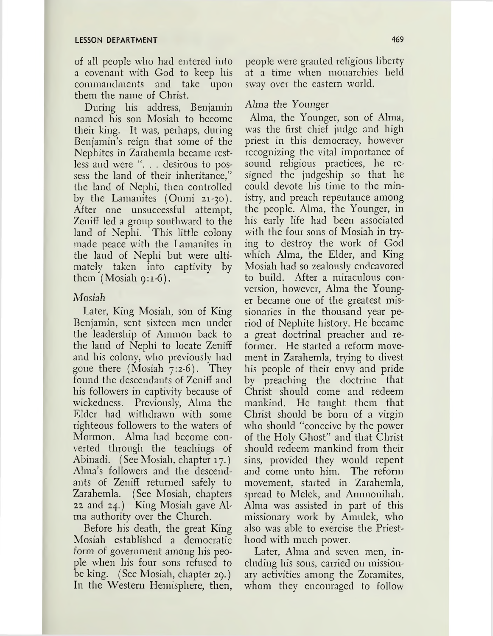of all people who had entered into a covenant with God to keep his commandments and take upon them the name of Christ.

During his address, Benjamin named his son Mosiah to become their king. It was, perhaps, during Benjamin's reign that some of the Nephites in Zarahemla became restless and were ". . . desirous to possess the land of their inheritance," the land of Nephi, then controlled by the Lamanites (Omni 21-30). After one unsuccessful attempt, Zeniff led a group southward to the land of Nephi. This little colony made peace with the Lamanites in the land of Nephi but were ultimately taken into captivity by them  $(Mosiah q:1-6)$ .

# *Mosiah*

Later, King Mosiah, son of King Benjamin, sent sixteen men under the leadership of Ammon back to the land of Nephi to locate Zeniff and his colony, who previously had gone there (Mosiah 7:2-6). They found the descendants of Zeniff and his followers in captivity because of wickedness. Previously, Alma the Elder had withdrawn with some righteous followers to the waters of Mormon. Alma had become converted through the teachings of Abinadi. (See Mosiah, chapter 17.) Alma'<sup>s</sup> followers and the descendants of Zeniff returned safely to Zarahemla. (See Mosiah, chapters 22 and 24.) King Mosiah gave Alma authority over the Church.

Before his death, the great King Mosiah established a democratic form of government among his people when his four sons refused to be king. (See Mosiah, chapter 29.) In the Western Hemisphere, then, people were granted religious liberty at a time when monarchies held sway over the eastern world.

# *Alma, the Younger*

Alma, the Younger, son of Alma, was the first chief judge and high priest in this democracy, however recognizing the vital importance of sound religious practices, he resigned the judgeship so that he could devote his time to the ministry, and preach repentance among the people. Alma, the Younger, in his early life had been associated with the four sons of Mosiah in trying to destroy the work of God which Alma, the Elder, and King Mosiah had so zealously endeavored to build. After a miraculous conversion, however, Alma the Younger became one of the greatest missionaries in the thousand year period of Nephite history. He became a great doctrinal preacher and reformer. He started a reform movement in Zarahemla, trying to divest his people of their envy and pride by preaching the doctrine that Christ should come and redeem mankind. He taught them that Christ should be born of a virgin who should "conceive by the power of the Holy Ghost" and that Christ should redeem mankind from their sins, provided they would repent and come unto him. The reform movement, started in Zarahemla, spread to Melek, and Ammonihah. Alma was assisted in part of this missionary work by Amulek, who also was able to exercise the Priesthood with much power.

Later, Alma and seven men, including his sons, carried on missionary activities among the Zoramites, whom they encouraged to follow